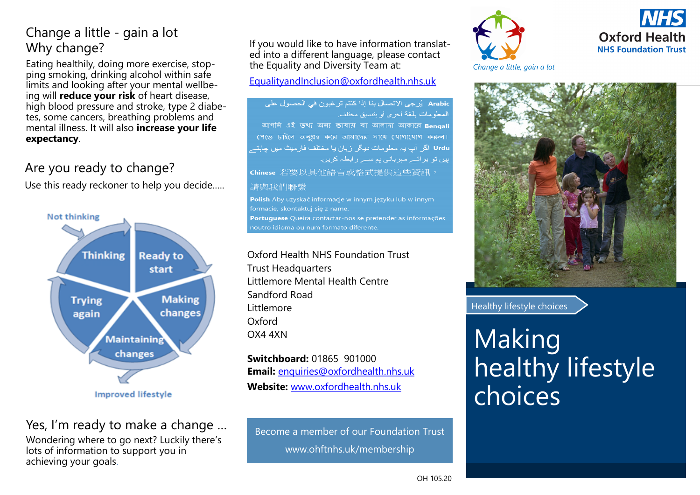# Change a little - gain a lot Why change?

Eating healthily, doing more exercise, stopping smoking, drinking alcohol within safe limits and looking after your mental wellbeing will **reduce your risk** of heart disease, high blood pressure and stroke, type 2 diabetes, some cancers, breathing problems and mental illness. It will also **increase your life expectancy**.

# Are you ready to change?

Use this ready reckoner to help you decide.….



**Improved lifestyle** 

## Yes, I'm ready to make a change …

Wondering where to go next? Luckily there's lots of information to support you in achieving your goals.

If you would like to have information translated into a different language, please contact the Equality and Diversity Team at:

#### [EqualityandInclusion@oxfordhealth.nhs.uk](mailto:EqualityandInclusion@oxfordhealth.nhs.uk)

Arabic يُرجى الاتصال بنا إذا كنتم ترغبون في الحصول على المعلومات بلغة أخرى أو بنتسبق مختلف. আপনি এই তথ্য অন্য ভাষায় বা আলাদা আকারে Bengali পেতে চাইলে অনগ্রহ করে আমাদের সাথে যোগাযোগ করুন। Urdu اگر آپ یہ معلومات دیگر ز بان یا مختلف فار میٹ میں جابتـ ہیں تو برائے مہربانی ہم سے رابطہ کریں۔ chinese 若要以其他語言或格式提供這些資訊,

#### 請與我們聯繫

Polish Aby uzyskać informacje w innym języku lub w innym Portuguese Queira contactar-nos se pretender as informações noutro idioma ou num formato diferente.

Oxford Health NHS Foundation Trust Trust Headquarters Littlemore Mental Health Centre Sandford Road Littlemore Oxford OX4 4XN

**Switchboard:** 01865 901000 **Email:** enquiries@oxfordhealth.nhs.uk **Website:** www.oxfordhealth.nhs.uk

Become a member of our Foundation Trust www.ohftnhs.uk/membership





*Change a little, gain a lot*



Healthy lifestyle choices

# **Making** healthy lifestyle choices